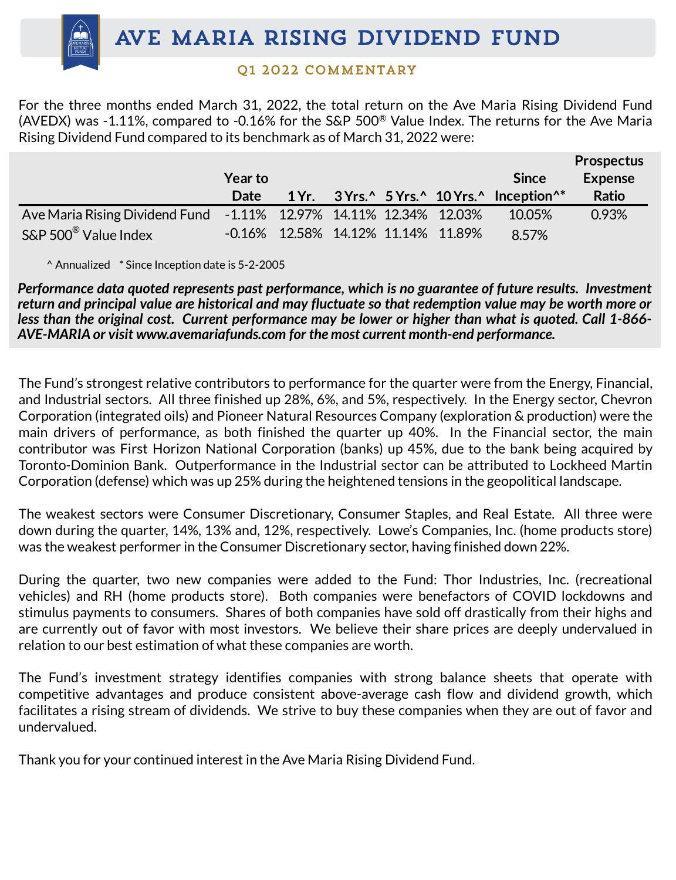## 01 2022 COMMENTARY

For the three months ended March 31, 2022, the total return on the Ave Maria Rising Dividend Fund (AVEDX) was -1.11%, compared to -0.16% for the S&P 500® Value Index. The returns for the Ave Maria Rising Dividend Fund compared to its benchmark as of March 31, 2022 were:

|                                                                   |                |  |                                       |                                                        | <b>Prospectus</b> |
|-------------------------------------------------------------------|----------------|--|---------------------------------------|--------------------------------------------------------|-------------------|
|                                                                   | <b>Year to</b> |  |                                       | <b>Since</b>                                           | <b>Expense</b>    |
|                                                                   | <b>Date</b>    |  |                                       | 1 Yr. 3 Yrs. 5 Yrs. 10 Yrs. 10 Freeption <sup>^*</sup> | <b>Ratio</b>      |
| Ave Maria Rising Dividend Fund -1.11% 12.97% 14.11% 12.34% 12.03% |                |  |                                       | 10.05%                                                 | 0.93%             |
| $S\&P 500^{\circledR}$ Value Index                                |                |  | $-0.16\%$ 12.58% 14.12% 11.14% 11.89% | 8.57%                                                  |                   |

^ Annualized \* Since Inception date is 5-2-2005

*Performance data quoted represents past performance, which is no guarantee of future results. Investment* return and principal value are historical and may fluctuate so that redemption value may be worth more or less than the original cost. Current performance may be lower or higher than what is quoted. Call 1-866-*AVE-MARIA or visit www.avemariafunds.com for the most current month-end performance.*

The Fund's strongest relative contributors to performance for the quarter were from the Energy, Financial, and Industrial sectors. All three finished up 28%, 6%, and 5%, respectively. In the Energy sector, Chevron Corporation (integrated oils) and Pioneer Natural Resources Company (exploration & production) were the main drivers of performance, as both finished the quarter up 40%. In the Financial sector, the main contributor was First Horizon National Corporation (banks) up 45%, due to the bank being acquired by Toronto-Dominion Bank. Outperformance in the Industrial sector can be attributed to Lockheed Martin Corporation (defense) which was up 25% during the heightened tensions in the geopolitical landscape.

The weakest sectors were Consumer Discretionary, Consumer Staples, and Real Estate. All three were down during the quarter, 14%, 13% and, 12%, respectively. Lowe's Companies, Inc. (home products store) was the weakest performer in the Consumer Discretionary sector, having finished down 22%.

During the quarter, two new companies were added to the Fund: Thor Industries, Inc. (recreational vehicles) and RH (home products store). Both companies were benefactors of COVID lockdowns and stimulus payments to consumers. Shares of both companies have sold off drastically from their highs and are currently out of favor with most investors. We believe their share prices are deeply undervalued in relation to our best estimation of what these companies are worth.

The Fund's investment strategy identifies companies with strong balance sheets that operate with competitive advantages and produce consistent above-average cash flow and dividend growth, which facilitates a rising stream of dividends. We strive to buy these companies when they are out of favor and undervalued.

Thank you for your continued interest in the Ave Maria Rising Dividend Fund.